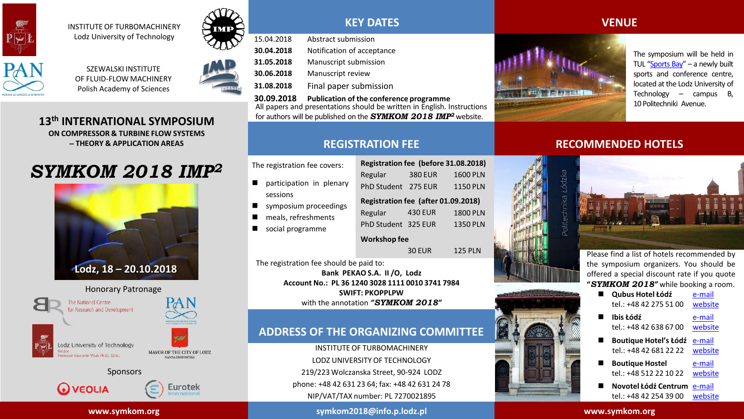



INSTITUTE OF TURBOMACHINERY Lodz University of Technology





**13th INTERNATIONAL SYMPOSIUM ON COMPRESSOR & TURBINE FLOW SYSTEMS THEORY & APPLICATION AREAS**

# *SYMKOM 2018 IMP<sup>2</sup>*





Lodz University of Technology rotosove Slavovnie Wiak Ph.D. D.Sc.



#### Sponsors

**www.symkom.org**



**Eurotek** 

**KEY DATES**

15.04.2018 Abstract submission **30.04.2018** Notification of acceptance **31.05.2018** Manuscript submission **30.06.2018** Manuscript review **31.08.2018** Final paper submission **30.09.2018 Publication of the conference programme**

All papers and presentations should be written in English. Instructions for authors will be published on the *SYMKOM 2018 IMP<sup>2</sup>* website.

# **REGISTRATION FEE**

The registration fee covers:

- participation in plenary sessions
- symposium proceedings
- **n** meals, refreshments
- social programme

| Registration fee (after 01.09.2018) |                |                 |  |  |
|-------------------------------------|----------------|-----------------|--|--|
| Regular                             | <b>430 EUR</b> | <b>1800 PLN</b> |  |  |
| PhD Student 325 EUR                 |                | <b>1350 PLN</b> |  |  |
| Workshop fee                        |                |                 |  |  |

**Registration fee (before 31.08.2018)** Regular 380 EUR 1600 PLN PhD Student 275 FUR 1150 PLN

30 EUR 125 PLN

The registration fee should be paid to: **Bank PEKAO S.A. II /O, Lodz Account No.: PL 36 1240 3028 1111 0010 3741 7984 SWIFT: PKOPPLPW** with the annotation *"SYMKOM 2018"*

**Wo** 

# **ADDRESS OF THE ORGANIZING COMMITTEE**

INSTITUTE OF TURBOMACHINERY LODZ UNIVERSITY OF TECHNOLOGY 219/223 Wolczanska Street, 90-924 LODZ phone: +48 42 631 23 64; fax: +48 42 631 24 78 NIP/VAT/TAX number: PL 7270021895

**symkom2018@info.p.lodz.pl**

## **VENUE**



The symposium will be held in TUL "[Sports](https://zatokasportu.lodz.pl/en) Bay" – a newly built sports and conference centre, located at the Lodz University of Technology – campus B, 10 Politechniki Avenue.

## **RECOMMENDED HOTELS**



Please find a list of hotels recommended by the symposium organizers. You should be offered a special discount rate if you quote **"***SYMKOM 2018"* while booking a room.

 **Qubus Hotel Łódź** [e-mail](mailto:lodz@qubushotel.com) tel.: +48 42 275 51 00 [website](https://www.qubushotel.com/checkout/roomlist/lodz?noBookingEngine=1&city=9&dateFrom=2018-10-17&dateTo=2018-10-21&promotionCode=SYMKOM2018&x=68&y=7) **Ibis Łódź** [e-mail](mailto:h3096-re@accor.com) tel.: +48 42 638 67 00 [website](https://www.accorhotels.com/pl/hotel-3096-ibis-lodz-centrum/index.shtml) **Boutique Hotel's Łódź** [e-mail](mailto:pilsudskiego@hotels24.com.pl) tel.: +48 42 681 22 22 [website](http://www.cfihotels.pl/nasze-hotele/boutique-hotels-lodz-pilsudskiego) **Boutique Hostel** [e-mail](mailto:stefanowskiego@hotels24.com.pl) tel.: +48 512 22 10 22 [website](http://www.cfihotels.pl/nasze-hotele/boutique-hotels-lodz-stefanowskiego) **Novotel Łódź Centrum** [e-mail](mailto:h7830@accor.com) tel.: +48 42 254 39 00 [website](https://www.accorhotels.com/pl/hotel-7830-novotel-lodz-centrum/index.shtml#origin=novotel)

**www.symkom.org**